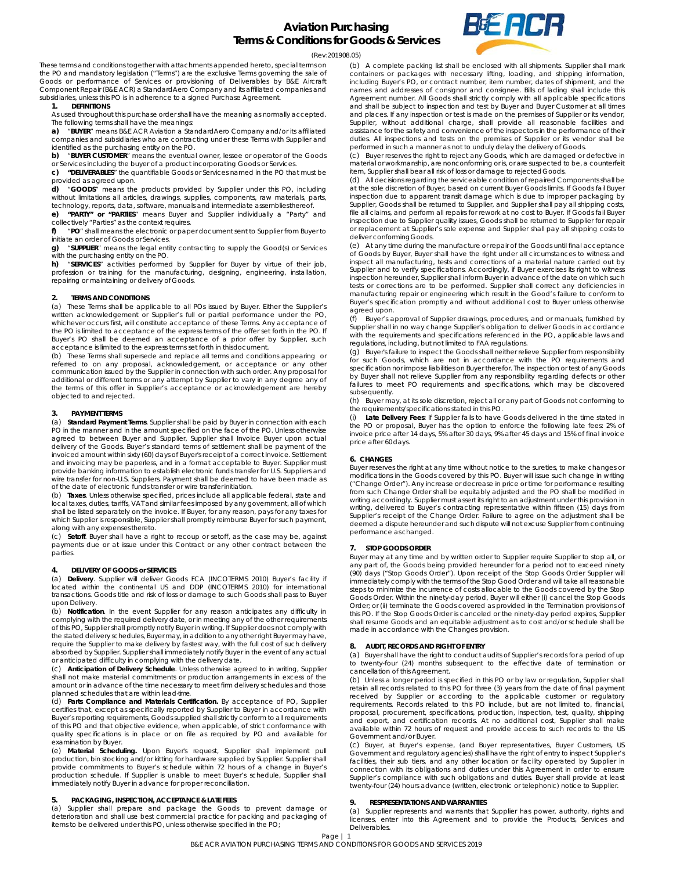

(Rev:201908.05)

These terms and conditions together with attachments appended hereto, special terms on the PO and mandatory legislation ("Terms") are the exclusive Terms governing the sale of Goods or performance of Services or provisioning of Deliverables by B&E Aircraft Component Repair (B&E ACR) a StandardAero Company and its affiliated companies and subsidiaries, unless this PO is in adherence to a signed Purchase Agreement.

#### **1. DEFINITIONS**

As used throughout this purchase order shall have the meaning as normally accepted.

The following terms shall have the meanings: **a)** "**BUYER**" means B&E ACR Aviation a StandardAero Company and/or its affiliated companies and subsidiaries who are contracting under these Terms with Supplier and identified as the purchasing entity on the PO.

**b)** "**BUYER CUSTOMER**" means the eventual owner, lessee or operator of the Goods

or Services including the buyer of a product incorporating Goods or Services.

**c) "DELIVERABLES**" the quantifiable Goods or Services named in the PO that must be provided as agreed upon.

**d) cGOODS**\* means the products provided by Supplier under this PO, including<br>without limitations all articles, drawings, supplies, components, raw materials, parts,<br>technology, reports, data, software, manuals and inter

**e) "PARTY" or "PARTIES**" means Buyer and Supplier individually a "Party" and collectively "Parties" as the context requires.

**f)** "**PO**" shall means the electronic or paper document sent to Supplier from Buyer to initiate an order of Goods or Services.

**g)** "**SUPPLIER**" means the legal entity contracting to supply the Good(s) or Services with the purchasing entity on the PO.

**h)** "**SERVICES**" activities performed by Supplier for Buyer by virtue of their job, profession or training for the manufacturing, designing, engineering, installation, repairing or maintaining or delivery of Goods.

## **2. TERMS AND CONDITIONS**

(a) These Terms shall be applicable to all POs issued by Buyer. Either the Supplier's written acknowledgement or Supplier's full or partial performance under the PO, whichever occurs first, will constitute acceptance of these Terms. Any acceptance of the PO is limited to acceptance of the express terms of the offer set forth in the PO. If Buyer's PO shall be deemed an acceptance of a prior offer by Supplier, such acceptance is limited to the express terms set forth in this document.

(b) These Terms shall supersede and replace all terms and conditions appearing or referred to on any proposal, acknowledgement, or acceptance or any other communication issued by the Supplier in connection with such order. Any proposal for additional or different terms or any attempt by Supplier to vary in any degree any of the terms of this offer in Supplier's acceptance or acknowledgement are hereby objected to and rejected.

#### **3. PAYMENT TERMS**

(a) **Standard Payment Terms**. Supplier shall be paid by Buyer in connection with each PO in the manner and in the amount specified on the face of the PO. Unless otherwise agreed to between Buyer and Supplier, Supplier shall Invoice Buyer upon actual delivery of the Goods. Buyer's standard terms of settlement shall be payment of the invoiced amount within sixty (60) days of Buyer's receipt of a correct Invoice. Settlement and invoicing may be paperless, and in a format acceptable to Buyer. Supplier must provide banking information to establish electronic funds transfer for U.S. Suppliers and wire transfer for non-U.S. Suppliers. Payment shall be deemed to have been made as of the date of electronic funds transfer or wire transfer initiation.

(b) **Taxes**. Unless otherwise specified, prices include all applicable federal, state and local taxes, duties, tariffs, VAT and similar fees imposed by any government, all of which shall be listed separately on the invoice. If Buyer, for any reason, pays for any taxes for which Supplier is responsible, Supplier shall promptly reimburse Buyer for such payment, along with any expenses thereto.

(c) **Setoff**. Buyer shall have a right to recoup or setoff, as the case may be, against payments due or at issue under this Contract or any other contract between the parties

# **4. DELIVERY OF GOODS or SERVICES**

(a) **Delivery**. Supplier will deliver Goods FCA (INCOTERMS 2010) Buyer's facility if located within the continental US and DDP (INCOTERMS 2010) for international transactions. Goods title and risk of loss or damage to such Goods shall pass to Buyer upon Delivery.

(b) **Notification**. In the event Supplier for any reason anticipates any difficulty in complying with the required delivery date, or in meeting any of the other requirements of this PO, Supplier shall promptly notify Buyer in writing. If Supplier does not comply with the stated delivery schedules, Buyer may, in addition to any other right Buyer may have, require the Supplier to make delivery by fastest way, with the full cost of such delivery absorbed by Supplier. Supplier shall immediately notify Buyer in the event of any actual or anticipated difficulty in complying with the delivery date.

(c) **Anticipation of Delivery Schedule**. Unless otherwise agreed to in writing, Supplier shall not make material commitments or production arrangements in excess of the amount or in advance of the time necessary to meet firm delivery schedules and those planned schedules that are within lead-time.

(d) **Parts Compliance and Materials Certification.** By acceptance of PO, Supplier certifies that, except as specifically reported by Supplier to Buyer in accordance with Buyer's reporting requirements, Goods supplied shall strictly conform to all requirements of this PO and that objective evidence, when applicable, of strict conformance with quality specifications is in place or on file as required by PO and available for examination by Buyer.

(e) **Material Scheduling.** Upon Buyer's request, Supplier shall implement pull production, bin stocking and/or kitting for hardware supplied by Supplier. Supplier shall provide commitments to Buyer's schedule within 72 hours of a change in Buyer's production schedule. If Supplier is unable to meet Buyer's schedule, Supplier shall immediately notify Buyer in advance for proper reconciliation.

### **5. PACKAGING, INSPECTION, ACCEPTANCE & LATE FEES**

(a) Supplier shall prepare and package the Goods to prevent damage or deterioration and shall use best commercial practice for packing and packaging of items to be delivered under this PO, unless otherwise specified in the PO;

(b) A complete packing list shall be enclosed with all shipments. Supplier shall mark containers or packages with necessary lifting, loading, and shipping information, including Buyer's PO, or contract number, item number, dates of shipment, and the names and addresses of consignor and consignee. Bills of lading shall include this Agreement number. All Goods shall strictly comply with all applicable specifications and shall be subject to inspection and test by Buyer and Buyer Customer at all times and places. If any inspection or test is made on the premises of Supplier or its vendor, Supplier, without additional charge, shall provide all reasonable facilities and assistance for the safety and convenience of the inspectors in the performance of their duties. All inspections and tests on the premises of Supplier or its vendor shall be performed in such a manner as not to unduly delay the delivery of Goods.

(c) Buyer reserves the right to reject any Goods, which are damaged or defective in material or workmanship, are nonconforming or is, or are suspected to be, a counterfeit item, Supplier shall bear all risk of loss or damage to rejected Goods.

(d) All decisions regarding the serviceable condition of repaired Components shall be at the sole discretion of Buyer, based on current Buyer Goods limits. If Goods fail Buyer inspection due to apparent transit damage which is due to improper packaging by Supplier, Goods shall be returned to Supplier, and Supplier shall pay all shipping costs, file all claims, and perform all repairs for rework at no cost to Buyer. If Goods fail Buyer inspection due to Supplier quality issues, Goods shall be returned to Supplier for repair or replacement at Supplier's sole expense and Supplier shall pay all shipping costs to deliver conforming Goods.

(e) At any time during the manufacture or repair of the Goods until final acceptance of Goods by Buyer, Buyer shall have the right under all circumstances to witness and inspect all manufacturing, tests and corrections of a material nature carried out by Supplier and to verify specifications. Accordingly, if Buyer exercises its right to witness inspection hereunder, Supplier shall inform Buyer in advance of the date on which such tests or corrections are to be performed. Supplier shall correct any deficiencies in<br>manufacturing repair or engineering which result in the Good's failure to conform to<br>Buyer's specification promptly and without additiona agreed upon.

Buyer's approval of Supplier drawings, procedures, and or manuals, furnished by Supplier shall in no way change Supplier's obligation to deliver Goods in accordance with the requirements and specifications referenced in the PO, applicable laws and regulations, including, but not limited to FAA regulations.

(g) Buyer's failure to inspect the Goods shall neither relieve Supplier from responsibility for such Goods, which are not in accordance with the PO requirements and specification nor impose liabilities on Buyer therefor. The inspection or test of any Goods by Buyer shall not relieve Supplier from any responsibility regarding defects or other failures to meet PO requirements and specifications, which may be discovered subsequently.

(h) Buyer may, at its sole discretion, reject all or any part of Goods not conforming to the requirements/specifications stated in this PO.

(i) **Late Delivery Fees**: If Supplier fails to have Goods delivered in the time stated in the PO or proposal, Buyer has the option to enforce the following late fees: 2% of invoice price after 14 days, 5% after 30 days, 9% after 45 days and 15% of final invoice price after 60 days.

#### **6. CHANGES**

Buyer reserves the right at any time without notice to the sureties, to make changes or modifications in the Goods covered by this PO. Buyer will issue such change in writing ("Change Order"). Any increase or decrease in price or time for performance resulting from such Change Order shall be equitably adjusted and the PO shall be modified in writing accordingly. Supplier must assert its right to an adjustment under this provision in writing, delivered to Buyer's contracting representative within fifteen (15) days from Supplier's receipt of the Change Order. Failure to agree on the adjustment shall be deemed a dispute hereunder and such dispute will not excuse Supplier from continuing performance as changed.

## **7. STOP GOODS ORDER**

Buyer may at any time and by written order to Supplier require Supplier to stop all, or any part of, the Goods being provided hereunder for a period not to exceed ninety (90) days ("Stop Goods Order"). Upon receipt of the Stop Goods Order Supplier will immediately comply with the terms of the Stop Good Order and will take all reasonable steps to minimize the incurrence of costs allocable to the Goods covered by the Stop Goods Order. Within the ninety-day period, Buyer will either (i) cancel the Stop Goods Order; or (ii) terminate the Goods covered as provided in the Termination provisions of this PO. If the Stop Goods Order is canceled or the ninety-day period expires, Supplier shall resume Goods and an equitable adjustment as to cost and/or schedule shall be made in accordance with the Changes provision.

# **8. AUDIT, RECORDS AND RIGHT OF ENTRY**

(a) Buyer shall have the right to conduct audits of Supplier's records for a period of up to twenty-four (24) months subsequent to the effective date of termination or cancellation of this Agreement.

(b) Unless a longer period is specified in this PO or by law or regulation, Supplier shall retain all records related to this PO for three (3) years from the date of final payment received by Supplier or according to the applicable customer or regulatory requirements. Records related to this PO include, but are not limited to, financial, proposal, procurement, specifications, production, inspection, test, quality, shipping<br>and export, and certification records. At no additional cost, Supplier shall make<br>available within 72 hours of request and provide acce Government and/or Buyer.

(c) Buyer, at Buyer's expense, (and Buyer representatives, Buyer Customers, US Government and regulatory agencies) shall have the right of entry to inspect Supplier's facilities, their sub tiers, and any other location or facility operated by Supplier in connection with its obligations and duties under this Agreement in order to ensure Supplier's compliance with such obligations and duties. Buyer shall provide at least twenty-four (24) hours advance (written, electronic or telephonic) notice to Supplier.

# **9. RESPRESENTATIONS AND WARRANTIES**

(a) Supplier represents and warrants that Supplier has power, authority, rights and licenses, enter into this Agreement and to provide the Products, Services and Deliverables.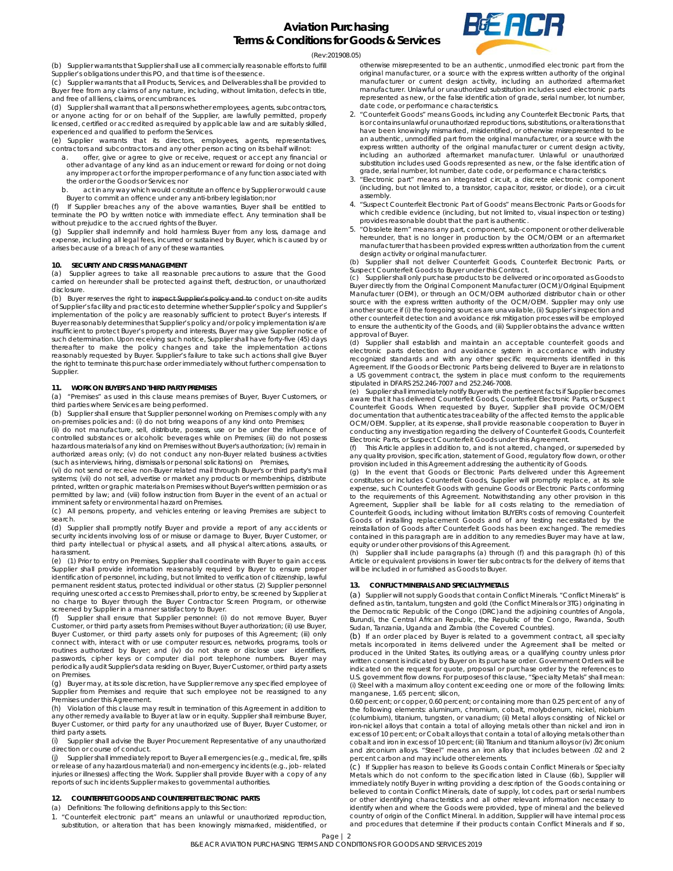

(Rev:201908.05)

(b) Supplier warrants that Supplier shall use all commercially reasonable efforts to fulfill

Supplier's obligations under this PO, and that time is of the essence.

(c) Supplier warrants that all Products, Services, and Deliverables shall be provided to Buyer free from any claims of any nature, including, without limitation, defects in title, and free of all liens, claims, or encumbrances.

(d) Supplier shall warrant that all persons whether employees, agents, subcontractors, or anyone acting for or on behalf of the Supplier, are lawfully permitted, properly licensed, certified or accredited as required by applicable law and are suitably skilled, experienced and qualified to perform the Services.

(e) Supplier warrants that its directors, employees, agents, representatives, contractors and subcontractors and any other person acting on its behalf will not:

- offer, give or agree to give or receive, request or accept any financial or other advantage of any kind as an inducement or reward for doing or not doing any improper act or for the improper performance of any function associated with the order or the Goods or Services; nor
- b. act in any way which would constitute an offence by Supplier or would cause Buyer to commit an offence under any anti-bribery legislation; nor

If Supplier breaches any of the above warranties, Buyer shall be entitled to terminate the PO by written notice with immediate effect. Any termination shall be without prejudice to the accrued rights of the Buyer.

(g) Supplier shall indemnify and hold harmless Buyer from any loss, damage and expense, including all legal fees, incurred or sustained by Buyer, which is caused by or arises because of a breach of any of these warranties.

# **10. SECURITY AND CRISIS MANAGEMENT**

(a) Supplier agrees to take all reasonable precautions to assure that the Good carried on hereunder shall be protected against theft, destruction, or unauthorized disclosure.

(b) Buyer reserves the right to inspect Supplier's policy and to conduct on-site audits of Supplier's facility and practices to determine whether Supplier's policy and Supplier's implementation of the policy are reasonably sufficient to protect Buyer's interests. If Buyer reasonably determines that Supplier's policy and/or policy implementation is/are insufficient to protect Buyer's property and interests, Buyer may give Supplier notice of such determination. Upon receiving such notice, Supplier shall have forty-five (45) days thereafter to make the policy changes and take the implementation actions reasonably requested by Buyer. Supplier's failure to take such actions shall give Buyer the right to terminate this purchase order immediately without further compensation to **Supplier** 

# **11. WORK ON BUYER'S AND THIRD PARTY PREMISES**

(a) "Premises" as used in this clause means premises of Buyer, Buyer Customers, or third parties where Services are being performed.

(b) Supplier shall ensure that Supplier personnel working on Premises comply with any on-premises policies and: (i) do not bring weapons of any kind onto Premises;

(ii) do not manufacture, sell, distribute, possess, use or be under the influence of controlled substances or alcoholic beverages while on Premises; (iii) do not possess hazardous materials of any kind on Premises without Buyer's authorization; (iv) remain in authorized areas only; (v) do not conduct any non-Buyer related business activities (such as interviews, hiring, dismissals or personal solicitations) on Premises,

(vi) do not send or receive non-Buyer related mail through Buyer's or third party's mail systems; (vii) do not sell, advertise or market any products or memberships, distribute printed, written or graphic materials on Premises without Buyer's written permission or as permitted by law; and (viii) follow instruction from Buyer in the event of an actual or imminent safety or environmental hazard on Premises.

(c) All persons, property, and vehicles entering or leaving Premises are subject to search.

(d) Supplier shall promptly notify Buyer and provide a report of any accidents or security incidents involving loss of or misuse or damage to Buyer, Buyer Customer, or third party intellectual or physical assets, and all physical altercations, assaults, or harassment.

(e) (1) Prior to entry on Premises, Supplier shall coordinate with Buyer to gain access. Supplier shall provide information reasonably required by Buyer to ensure proper identification of personnel, including, but not limited to verification of citizenship, lawful permanent resident status, protected individual or other status. (2) Supplier personnel<br>requiring unescorted access to Premises shall, prior to entry, be screened by Supplier at<br>no charge to Buyer through the Buyer screened by Supplier in a manner satisfactory to Buyer.

Supplier shall ensure that Supplier personnel: (i) do not remove Buyer, Buyer Customer, or third party assets from Premises without Buyer authorization; (ii) use Buyer, Buyer Customer, or third party assets only for purposes of this Agreement; (iii) only connect with, interact with or use computer resources, networks, programs, tools or routines authorized by Buyer; and (iv) do not share or disclose user identifiers, passwords, cipher keys or computer dial port telephone numbers. Buyer may periodically audit Supplier's data residing on Buyer, Buyer Customer, or third party assets on Premises.

(g) Buyer may, at its sole discretion, have Supplier remove any specified employee of Supplier from Premises and require that such employee not be reassigned to any Premises under this Agreement.

(h) Violation of this clause may result in termination of this Agreement in addition to any other remedy available to Buyer at law or in equity. Supplier shall reimburse Buyer, Buyer Customer, or third party for any unauthorized use of Buyer, Buyer Customer, or third party assets.

(i) Supplier shall advise the Buyer Procurement Representative of any unauthorized direction or course of conduct.

(j) Supplier shall immediately report to Buyer all emergencies (e.g., medical, fire, spills or release of any hazardous material) and non-emergency incidents (e.g., job- related injuries or illnesses) affecting the Work. Supplier shall provide Buyer with a copy of any reports of such incidents Supplier makes to governmental authorities.

# **12. COUNTERFEIT GOODS AND COUNTERFEIT ELECTRONIC PARTS**

(a) Definitions: The following definitions apply to this Section:

1. "Counterfeit electronic part" means an unlawful or unauthorized reproduction, substitution, or alteration that has been knowingly mismarked, misidentified, or otherwise misrepresented to be an authentic, unmodified electronic part from the original manufacturer, or a source with the express written authority of the original manufacturer or current design activity, including an authorized aftermarket manufacturer. Unlawful or unauthorized substitution includes used electronic parts represented as new, or the false identification of grade, serial number, lot number, date code, or performance characteristics.

- 2. "Counterfeit Goods" means Goods, including any Counterfeit Electronic Parts, that is or contains unlawful or unauthorized reproductions, substitutions, or alterations that have been knowingly mismarked, misidentified, or otherwise misrepresented to be an authentic, unmodified part from the original manufacturer, or a source with the express written authority of the original manufacturer or current design activity, including an authorized aftermarket manufacturer. Unlawful or unauthorized substitution includes used Goods represented as new, or the false identification of grade, serial number, lot number, date code, or performance characteristics.
- 3. "Electronic part" means an integrated circuit, a discrete electronic component (including, but not limited to, a transistor, capacitor, resistor, or diode), or a circuit assembly.
- 4. "Suspect Counterfeit Electronic Part of Goods" means Electronic Parts or Goods for which credible evidence (including, but not limited to, visual inspection or testing) provides reasonable doubt that the part is authentic.
- 5. "Obsolete item" means any part, component, sub-component or other deliverable hereunder, that is no longer in production by the OCM/OEM or an aftermarket manufacturer that has been provided express written authorization from the current design activity or original manufacturer. (b) Supplier shall not deliver Counterfeit Goods, Counterfeit Electronic Parts, or

Suspect Counterfeit Goods to Buyer under this Contract.

(c) Supplier shall only purchase products to be delivered or incorporated as Goods to Buyer directly from the Original Component Manufacturer (OCM)/Original Equipment<br>Manufacturer (OEM), or through an OCM/OEM authorized distributor chain or other<br>source with the express written authority of the OCM/OEM. Sup another source if (i) the foregoing sources are unavailable, (ii) Supplier's inspection and other counterfeit detection and avoidance risk mitigation processes will be employed to ensure the authenticity of the Goods, and (iii) Supplier obtains the advance written approval of Buyer.

supplier shall establish and maintain an acceptable counterfeit goods and electronic parts detection and avoidance system in accordance with industry recognized standards and with any other specific requirements identified in this Agreement. If the Goods or Electronic Parts being delivered to Buyer are in relations to a US government contract, the system in place must conform to the requirements stipulated in DFARS 252.246-7007 and 252.246-7008.

(e) Supplier shall immediately notify Buyer with the pertinent facts if Supplier becomes aware that it has delivered Counterfeit Goods, Counterfeit Electronic Parts, or Suspect<br>Counterfeit Goods. When requested by Buyer, Supplier shall provide OCM/OEM<br>documentation that authenticates traceability of the affect conducting any investigation regarding the delivery of Counterfeit Goods, Counterfeit Electronic Parts, or Suspect Counterfeit Goods under this Agreement.

This Article applies in addition to, and is not altered, changed, or superseded by any quality provision, specification, statement of Good, regulatory flow down, or other

provision included in this Agreement addressing the authenticity of Goods.<br>(g) In the event that Goods or Electronic Parts delivered under this Agreement<br>constitutes or includes Counterfeit Goods, Supplier will promptly re to the requirements of this Agreement. Notwithstanding any other provision in this Agreement, Supplier shall be liable for all costs relating to the remediation of<br>Counterfeit Goods, including without limitation BUYER's costs of removing Counterfeit<br>Goods of installing replacement Goods and of any testin contained in this paragraph are in addition to any remedies Buyer may have at law, equity or under other provisions of this Agreement.

(h) Supplier shall include paragraphs (a) through (f) and this paragraph (h) of this Article or equivalent provisions in lower tier subcontracts for the delivery of items that will be included in or furnished as Goods to Buyer.

# **13. CONFLICT MINERALS AND SPECIALTY METALS**

(a) Supplier will not supply Goods that contain Conflict Minerals. "Conflict Minerals" is defined as tin, tantalum, tungsten and gold (the Conflict Minerals or 3TG) originating in the Democratic Republic of the Congo (DRC) and the adjoining countries of Angola, Burundi, the Central African Republic, the Republic of the Congo, Rwanda, South Sudan, Tanzania, Uganda and Zambia (the Covered Countries).

(b) If an order placed by Buyer is related to a government contract, all specialty metals incorporated in items delivered under the Agreement shall be melted or produced in the United States, its outlying areas, or a qualifying country unless prior written consent is indicated by Buyer on its purchase order. Government Orders will be indicated on the request for quote, proposal or purchase order by the references to U.S. government flow downs. For purposes of this clause, "Specialty Metals" shall mean: (i) Steel with a maximum alloy content exceeding one or more of the following limits: manganese, 1.65 percent; silicon,

0.60 percent; or copper, 0.60 percent; or containing more than 0.25 percent of any of the following elements: aluminum, chromium, cobalt, molybdenum, nickel, niobium (columbium), titanium, tungsten, or vanadium; (ii) Metal alloys consisting of Nickel or iron-nickel alloys that contain a total of alloying metals other than nickel and iron in excess of 10 percent; or Cobalt alloys that contain a total of alloying metals other than cobalt and iron in excess of 10 percent; (iii) Titanium and titanium alloys or (iv) Zirconium and zirconium alloys. "Steel" means an iron alloy that includes between .02 and 2 percent carbon and may include other elements.

(c) If Supplier has reason to believe its Goods contain Conflict Minerals or Specialty Metals which do not conform to the specification listed in Clause (6b), Supplier will immediately notify Buyer in writing providing a description of the Goods containing or believed to contain Conflict Minerals, date of supply, lot codes, part or serial numbers or other identifying characteristics and all other relevant information necessary to identify when and where the Goods were provided, type of mineral and the believed country of origin of the Conflict Mineral. In addition, Supplier will have internal process and procedures that determine if their products contain Conflict Minerals and if so,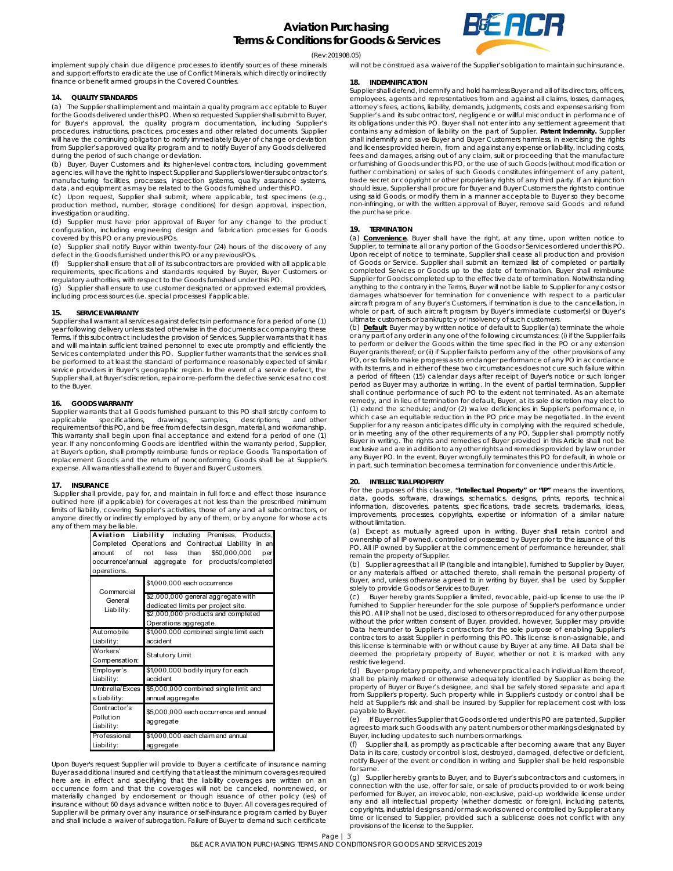

#### (Rev:201908.05)

implement supply chain due diligence processes to identify sources of these minerals and support efforts to eradicate the use of Conflict Minerals, which directly or indirectly finance or benefit armed groups in the Covered Countries.

# **14. QUALITY STANDARDS**

(a) The Supplier shall implement and maintain a quality program acceptable to Buyer for the Goods delivered under this PO. When so requested Supplier shall submit to Buyer, for Buyer's approval, the quality program documentation, including Supplier's procedures, instructions, practices, processes and other related documents. Supplier will have the continuing obligation to notify immediately Buyer of change or deviation from Supplier's approved quality program and to notify Buyer of any Goods delivered during the period of such change or deviation.

(b) Buyer, Buyer Customers and its higher-level contractors, including government agencies, will have the right to inspect Supplier and Supplier's lower-tier subcontractor's manufacturing facilities, processes, inspection systems, quality assurance systems, data, and equipment as may be related to the Goods furnished under this PO.

(c) Upon request, Supplier shall submit, where applicable, test specimens (e.g., production method, number, storage conditions) for design approval, inspection, investigation or auditing.

(d) Supplier must have prior approval of Buyer for any change to the product configuration, including engineering design and fabrication processes for Goods covered by this PO or any previous POs.

(e) Supplier shall notify Buyer within twenty-four (24) hours of the discovery of any defect in the Goods furnished under this PO or any previous POs.

Supplier shall ensure that all of its subcontractors are provided with all applicable requirements, specifications and standards required by Buyer, Buyer Customers or regulatory authorities, with respect to the Goods furnished under this PO.

(g) Supplier shall ensure to use customer designated or approved external providers, including process sources (i.e. special processes) if applicable.

# **15. SERVICE WARRANTY**

Supplier shall warrant all services against defects in performance for a period of one (1) year following delivery unless stated otherwise in the documents accompanying these Terms. If this subcontract includes the provision of Services, Supplier warrants that it has and will maintain sufficient trained personnel to execute promptly and efficiently the Services contemplated under this PO. Supplier further warrants that the services shall be performed to at least the standard of performance reasonably expected of similar service providers in Buyer's geographic region. In the event of a service defect, the Supplier shall, at Buyer's discretion, repair or re-perform the defective services at no cost to the Buyer.

# **16. GOODS WARRANTY**

Supplier warrants that all Goods furnished pursuant to this PO shall strictly conform to applicable specifications, drawings, samples, descriptions, and other specifications, drawings, samples, descriptions, and other requirements of this PO, and be free from defects in design, material, and workmanship. This warranty shall begin upon final acceptance and extend for a period of one (1) year. If any nonconforming Goods are identified within the warranty period, Supplier, at Buyer's option, shall promptly reimburse funds or replace Goods. Transportation of replacement Goods and the return of nonconforming Goods shall be at Supplier's expense. All warranties shall extend to Buyer and Buyer Customers.

#### **17. INSURANCE**

 Supplier shall provide, pay for, and maintain in full force and effect those insurance outlined here (if applicable) for coverages at not less than the prescribed minimum limits of liability, covering Supplier's activities, those of any and all subcontractors, or anyone directly or indirectly employed by any of them, or by anyone for whose acts any of them may be liable.

|                                                    | Aviation Liability including Premises, Products,     |
|----------------------------------------------------|------------------------------------------------------|
|                                                    | Completed Operations and Contractual Liability in an |
| of<br>amount                                       | \$50,000,000<br>less than<br>not<br>per              |
| occurrence/annual aggregate for products/completed |                                                      |
| operations.                                        |                                                      |
| Commercial                                         | \$1,000,000 each occurrence                          |
| General                                            | \$2,000,000 general aggregate with                   |
| Liability:                                         | dedicated limits per project site.                   |
|                                                    | \$2,000,000 products and completed                   |
|                                                    | Operations aggregate.                                |
| Automobile                                         | \$1,000,000 combined single limit each               |
| Liability:                                         | accident                                             |
| Workers'                                           | Statutory Limit                                      |
| Compensation:                                      |                                                      |
| Employer's                                         | \$1,000,000 bodily injury for each                   |
| Liability:                                         | accident                                             |
| Umbrella/Exces                                     | \$5,000,000 combined single limit and                |
| s Liability:                                       | annual aggregate                                     |
| Contractor's<br>Pollution<br>Liability:            | \$5,000,000 each occurrence and annual<br>aggregate  |
| Professional<br>Liability:                         | \$1,000,000 each claim and annual<br>aggregate       |

Upon Buyer's request Supplier will provide to Buyer a certificate of insurance naming Buyer as additional insured and certifying that at least the minimum coverages required here are in effect and specifying that the liability coverages are written on an occurrence form and that the coverages will not be canceled, nonrenewed, or materially changed by endorsement or though issuance of other policy (ies) of insurance without 60 days advance written notice to Buyer. All coverages required of Supplier will be primary over any insurance or self-insurance program carried by Buyer and shall include a waiver of subrogation. Failure of Buyer to demand such certificate

will not be construed as a waiver of the Supplier's obligation to maintain such insurance.

#### **18. INDEMNIFICATION**

Supplier shall defend, indemnify and hold harmless Buyer and all of its directors, officers, employees, agents and representatives from and against all claims, losses, damages, attorney's fees, actions, liability, demands, judgments, costs and expenses arising from Supplier's and its subcontractors', negligence or willful misconduct in performance of its obligations under this PO. Buyer shall not enter into any settlement agreement that contains any admission of liability on the part of Supplier. **Patent Indemnity.** Supplier shall indemnify and save Buyer and Buyer Customers harmless, in exercising the rights and licenses provided herein, from and against any expense or liability, including costs, fees and damages, arising out of any claim, suit or proceeding that the manufacture or furnishing of Goods under this PO, or the use of such Goods (without modification or further combination) or sales of such Goods constitutes infringement of any patent, trade secret or copyright or other proprietary rights of any third party. If an injunction should issue, Supplier shall procure for Buyer and Buyer Customers the rights to continue using said Goods, or modify them in a manner acceptable to Buyer so they become non-infringing, or with the written approval of Buyer, remove said Goods and refund the purchase price.

## **19. TERMINATION**

(a) **Convenience**. Buyer shall have the right, at any time, upon written notice to Supplier, to terminate all or any portion of the Goods or Services ordered under this PO. Upon receipt of notice to terminate, Supplier shall cease all production and provision<br>of Goods or Service. Supplier shall submit an itemized list of completed or partially<br>completed Services or Goods up to the date of ter Supplier for Goods completed up to the effective date of termination. Notwithstanding anything to the contrary in the Terms, Buyer will not be liable to Supplier for any costs or damages whatsoever for termination for convenience with respect to a particular aircraft program of any Buyer's Customers, if termination is due to the cancellation, in whole or part, of such aircraft program by Buyer's immediate customer(s) or Buyer's ultimate customers or bankruptcy or insolvency of such customers.

(b) **Default**. Buyer may by written notice of default to Supplier (a) terminate the whole or any part of any order in any one of the following circumstances: (i) if the Supplier fails to perform or deliver the Goods within the time specified in the PO or any extension Buyer grants thereof; or (ii) if Supplier fails to perform any of the other provisions of any PO, or so fails to make progress as to endanger performance of any PO in accordance with its terms, and in either of these two circumstances does not cure such failure within a period of fifteen (15) calendar days after receipt of Buyer's notice or such longer period as Buyer may authorize in writing. In the event of partial termination, Supplier shall continue performance of such PO to the extent not terminated. As an alternate remedy, and in lieu of termination for default, Buyer, at its sole discretion may elect to (1) extend the schedule; and/or (2) waive deficiencies in Supplier's performance, in which case an equitable reduction in the PO price may be negotiated. In the event Supplier for any reason anticipates difficulty in complying with the required schedule, or in meeting any of the other requirements of any PO, Supplier shall promptly notify Buyer in writing. The rights and remedies of Buyer provided in this Article shall not be exclusive and are in addition to any other rights and remedies provided by law or under any Buyer PO. In the event, Buyer wrongfully terminates this PO for default, in whole or in part, such termination becomes a termination for convenience under this Article.

# **20. INTELLECTUAL PROPERTY**

For the purposes of this clause, **"Intellectual Property" or "IP"** means the inventions, data, goods, software, drawings, schematics, designs, prints, reports, technical information, discoveries, patents, specifications, trade secrets, trademarks, ideas, improvements, processes, copyrights, expertise or information of a similar nature without limitation.

(a) Except as mutually agreed upon in writing, Buyer shall retain control and ownership of all IP owned, controlled or possessed by Buyer prior to the issuance of this PO. All IP owned by Supplier at the commencement of performance hereunder, shall remain the property of Supplier.

(b) Supplier agrees that all IP (tangible and intangible), furnished to Supplier by Buyer, or any materials affixed or attached thereto, shall remain the personal property of Buyer, and, unless otherwise agreed to in writing by Buyer, shall be used by Supplier solely to provide Goods or Services to Buyer.

Buyer hereby grants Supplier a limited, revocable, paid-up license to use the IP furnished to Supplier hereunder for the sole purpose of Supplier's performance under this PO. All IP shall not be used, disclosed to others or reproduced for any other purpose without the prior written consent of Buyer, provided, however, Supplier may provide Data hereunder to Supplier's contractors for the sole purpose of enabling Supplier's contractors to assist Supplier in performing this PO. This license is non-assignable, and this license is terminable with or without cause by Buyer at any time. All Data shall be deemed the proprietary property of Buyer, whether or not it is marked with any restrictive legend.

(d) Buyer proprietary property, and whenever practical each individual item thereof, shall be plainly marked or otherwise adequately identified by Supplier as being the property of Buyer or Buyer's designee, and shall be safely stored separate and apart from Supplier's property. Such property while in Supplier's custody or control shall be held at Supplier's risk and shall be insured by Supplier for replacement cost with loss payable to Buyer.

(e) If Buyer notifies Supplier that Goods ordered under this PO are patented, Supplier agrees to mark such Goods with any patent numbers or other markings designated by Buyer, including updates to such numbers or markings.

(f) Supplier shall, as promptly as practicable after becoming aware that any Buyer Data in its care, custody or control is lost, destroyed, damaged, defective or deficient, notify Buyer of the event or condition in writing and Supplier shall be held responsible for same.

(g) Supplier hereby grants to Buyer, and to Buyer's subcontractors and customers, in connection with the use, offer for sale, or sale of products provided to or work being performed for Buyer, an irrevocable, non-exclusive, paid-up worldwide license under any and all intellectual property (whether domestic or foreign), including patents, copyrights, industrial designs and/or mask works owned or controlled by Supplier at any time or licensed to Supplier, provided such a sublicense does not conflict with any provisions of the license to the Supplier.